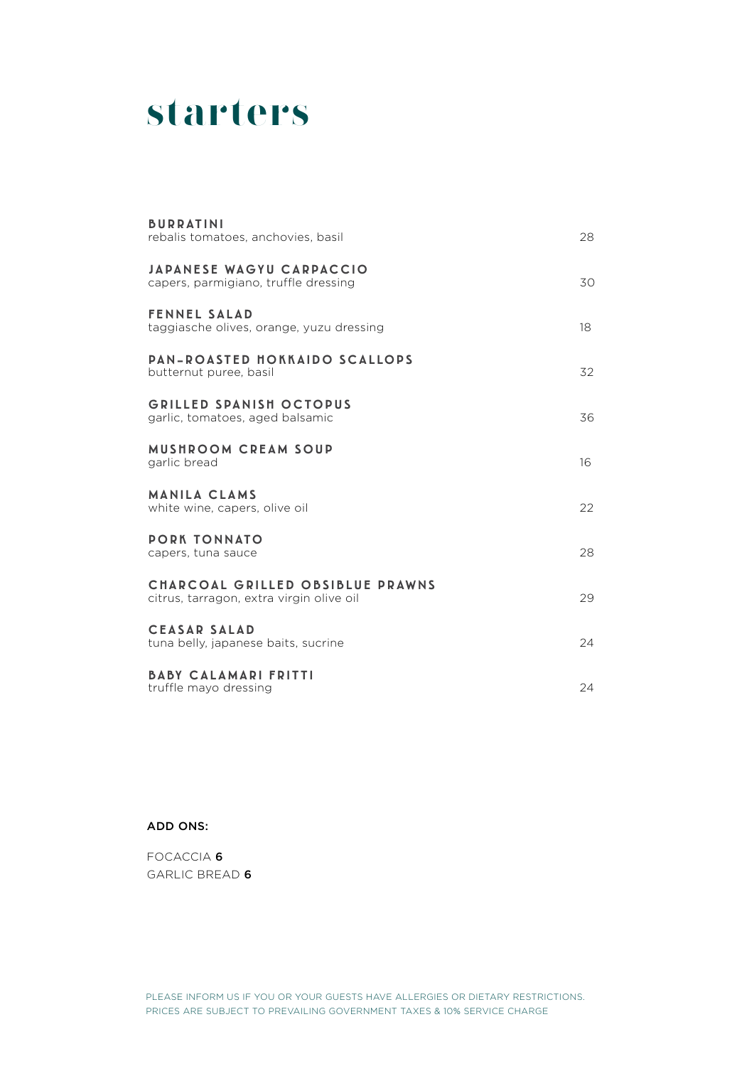# **starters**

| <b>BURRATINI</b><br>rebalis tomatoes, anchovies, basil                       | 28 |
|------------------------------------------------------------------------------|----|
| <b>JAPANESE WAGYU CARPACCIO</b><br>capers, parmigiano, truffle dressing      | 30 |
| <b>FENNEL SALAD</b><br>taggiasche olives, orange, yuzu dressing              | 18 |
| <b>PAN-ROASTED HOKKAIDO SCALLOPS</b><br>butternut puree, basil               | 32 |
| <b>GRILLED SPANISH OCTOPUS</b><br>garlic, tomatoes, aged balsamic            | 36 |
| MUSHROOM CREAM SOUP<br>garlic bread                                          | 16 |
| <b>MANILA CLAMS</b><br>white wine, capers, olive oil                         | 22 |
| <b>PORK TONNATO</b><br>capers, tuna sauce                                    | 28 |
| CHARCOAL GRILLED OBSIBLUE PRAWNS<br>citrus, tarragon, extra virgin olive oil | 29 |
| <b>CEASAR SALAD</b><br>tuna belly, japanese baits, sucrine                   | 24 |
| <b>BABY CALAMARI FRITTI</b><br>truffle mayo dressing                         | 24 |

ADD ONS:

FOCACCIA 6 GARLIC BREAD 6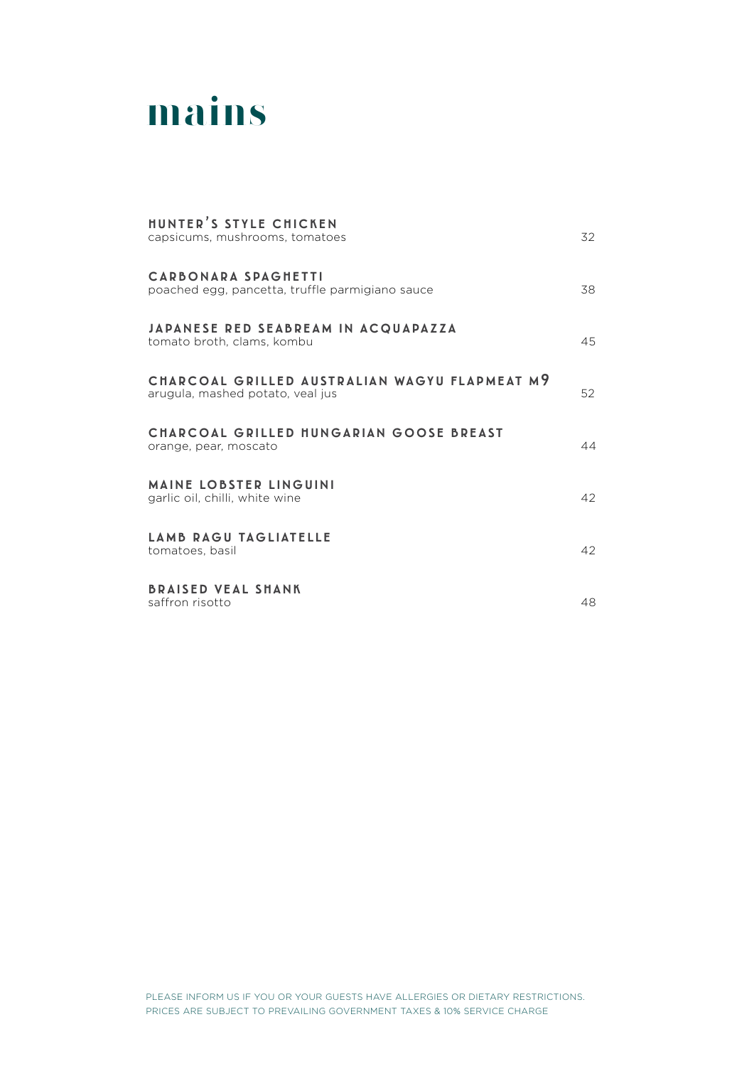

### hunter's style chicken capsicums, mushrooms, tomatoes 32 carbonara spaghetti poached egg, pancetta, truffle parmigiano sauce 38 japanese red seabream in acquapazza tomato broth, clams, kombu 45 charcoal grilled australian wagyu flapmeat m9 arugula, mashed potato, veal jus 52 charcoal grilled hungarian goose breast orange, pear, moscato 44 maine lobster linguini garlic oil, chilli, white wine 42 lamb ragu tagliatelle tomatoes, basil 42 braised veal shank saffron risotto 48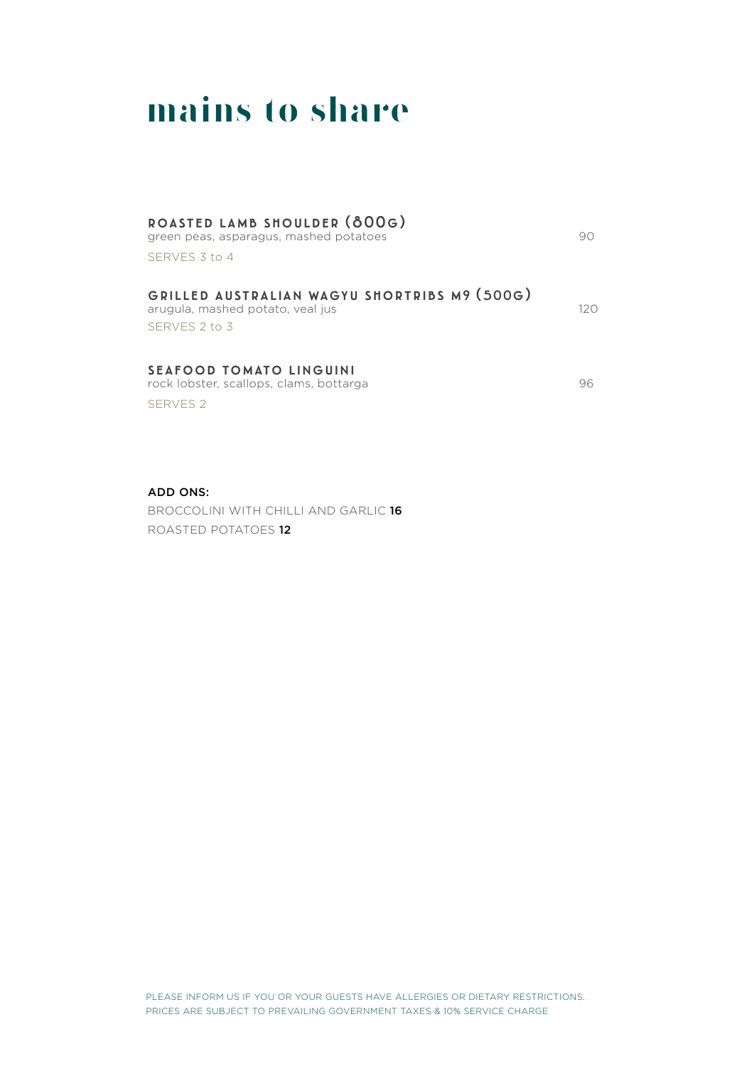# **mains to share**

#### roasted lamb shoulder (800g)

green peas, asparagus, mashed potatoes 80 SERVES 3 to 4

grilled australian wagyu shortribs m9 (500g)

arugula, mashed potato, veal jus 120 SERVES 2 to 3

#### seafood tomato linguini

rock lobster, scallops, clams, bottarga 1968 and 1968 and 1968 and 1968 and 1968 and 1970 and 1988 and 1988 and 19 SERVES 2

ADD ONS:

BROCCOLINI WITH CHILLI AND GARLIC 16 ROASTED POTATOES 12

PLEASE INFORM US IF YOU OR YOUR GUESTS HAVE ALLERGIES OR DIETARY RESTRICTIONS. PRICES ARE SUBJECT TO PREVAILING GOVERNMENT TAXES & 10% SERVICE CHARGE